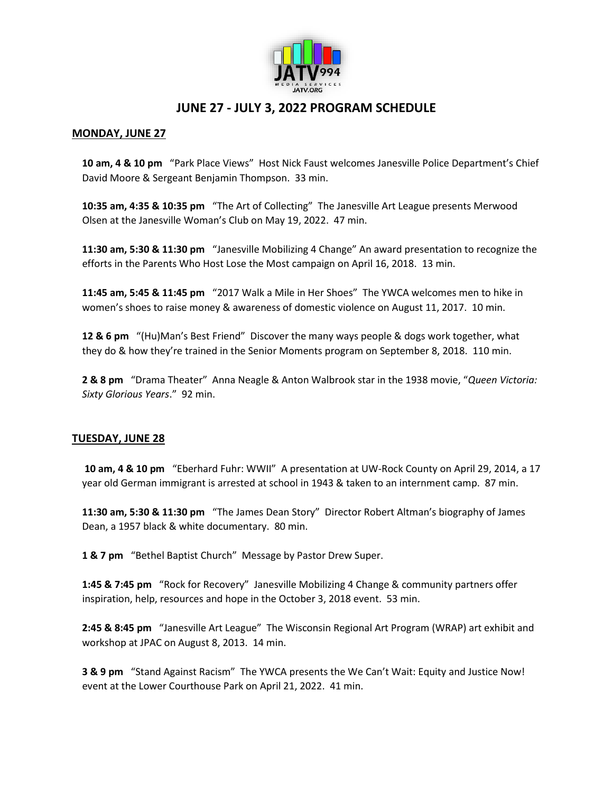

# **JUNE 27 - JULY 3, 2022 PROGRAM SCHEDULE**

## **MONDAY, JUNE 27**

 **10 am, 4 & 10 pm** "Park Place Views" Host Nick Faust welcomes Janesville Police Department's Chief David Moore & Sergeant Benjamin Thompson. 33 min.

**10:35 am, 4:35 & 10:35 pm** "The Art of Collecting" The Janesville Art League presents Merwood Olsen at the Janesville Woman's Club on May 19, 2022. 47 min.

 **11:30 am, 5:30 & 11:30 pm** "Janesville Mobilizing 4 Change" An award presentation to recognize the efforts in the Parents Who Host Lose the Most campaign on April 16, 2018. 13 min.

 **11:45 am, 5:45 & 11:45 pm** "2017 Walk a Mile in Her Shoes" The YWCA welcomes men to hike in women's shoes to raise money & awareness of domestic violence on August 11, 2017. 10 min.

 **12 & 6 pm** "(Hu)Man's Best Friend" Discover the many ways people & dogs work together, what they do & how they're trained in the Senior Moments program on September 8, 2018. 110 min.

 **2 & 8 pm** "Drama Theater" Anna Neagle & Anton Walbrook star in the 1938 movie, "*Queen Victoria: Sixty Glorious Years*." 92 min.

## **TUESDAY, JUNE 28**

 **10 am, 4 & 10 pm** "Eberhard Fuhr: WWII" A presentation at UW-Rock County on April 29, 2014, a 17 year old German immigrant is arrested at school in 1943 & taken to an internment camp. 87 min.

 **11:30 am, 5:30 & 11:30 pm** "The James Dean Story" Director Robert Altman's biography of James Dean, a 1957 black & white documentary. 80 min.

 **1 & 7 pm** "Bethel Baptist Church" Message by Pastor Drew Super.

 **1:45 & 7:45 pm** "Rock for Recovery" Janesville Mobilizing 4 Change & community partners offer inspiration, help, resources and hope in the October 3, 2018 event. 53 min.

 **2:45 & 8:45 pm** "Janesville Art League" The Wisconsin Regional Art Program (WRAP) art exhibit and workshop at JPAC on August 8, 2013. 14 min.

 **3 & 9 pm** "Stand Against Racism" The YWCA presents the We Can't Wait: Equity and Justice Now! event at the Lower Courthouse Park on April 21, 2022. 41 min.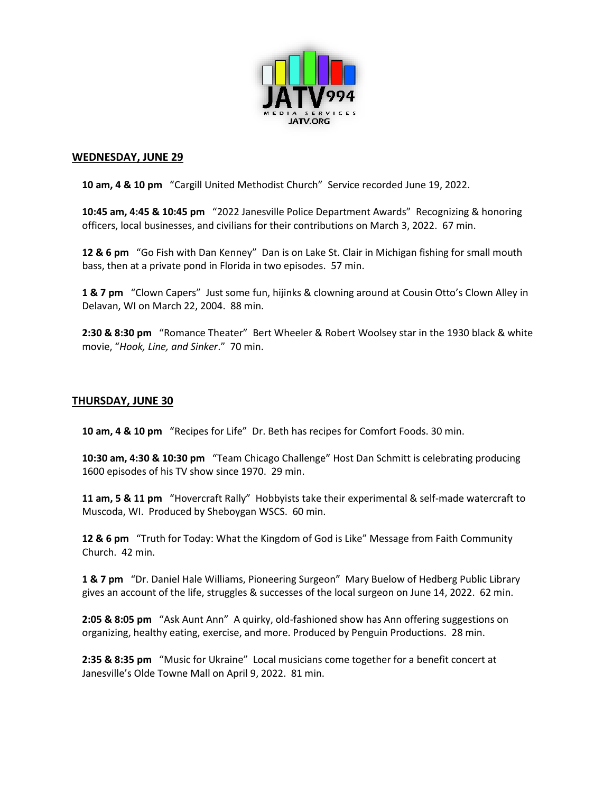

#### **WEDNESDAY, JUNE 29**

 **10 am, 4 & 10 pm** "Cargill United Methodist Church" Service recorded June 19, 2022.

 **10:45 am, 4:45 & 10:45 pm** "2022 Janesville Police Department Awards" Recognizing & honoring officers, local businesses, and civilians for their contributions on March 3, 2022. 67 min.

 **12 & 6 pm** "Go Fish with Dan Kenney" Dan is on Lake St. Clair in Michigan fishing for small mouth bass, then at a private pond in Florida in two episodes. 57 min.

 **1 & 7 pm** "Clown Capers" Just some fun, hijinks & clowning around at Cousin Otto's Clown Alley in Delavan, WI on March 22, 2004. 88 min.

 **2:30 & 8:30 pm** "Romance Theater" Bert Wheeler & Robert Woolsey star in the 1930 black & white movie, "*Hook, Line, and Sinker*." 70 min.

## **THURSDAY, JUNE 30**

**10 am, 4 & 10 pm** "Recipes for Life" Dr. Beth has recipes for Comfort Foods. 30 min.

 **10:30 am, 4:30 & 10:30 pm** "Team Chicago Challenge" Host Dan Schmitt is celebrating producing 1600 episodes of his TV show since 1970. 29 min.

 **11 am, 5 & 11 pm** "Hovercraft Rally" Hobbyists take their experimental & self-made watercraft to Muscoda, WI. Produced by Sheboygan WSCS. 60 min.

 **12 & 6 pm** "Truth for Today: What the Kingdom of God is Like" Message from Faith Community Church. 42 min.

 **1 & 7 pm** "Dr. Daniel Hale Williams, Pioneering Surgeon" Mary Buelow of Hedberg Public Library gives an account of the life, struggles & successes of the local surgeon on June 14, 2022. 62 min.

 **2:05 & 8:05 pm** "Ask Aunt Ann" A quirky, old-fashioned show has Ann offering suggestions on organizing, healthy eating, exercise, and more. Produced by Penguin Productions. 28 min.

 **2:35 & 8:35 pm** "Music for Ukraine" Local musicians come together for a benefit concert at Janesville's Olde Towne Mall on April 9, 2022. 81 min.